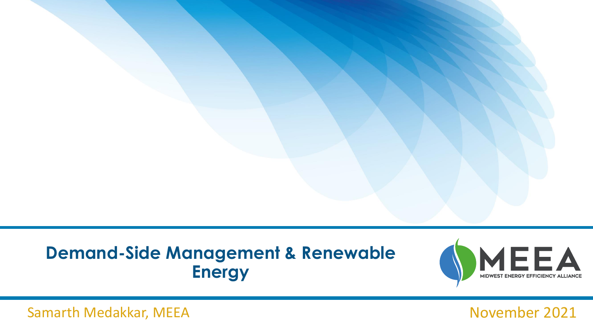### **Demand-Side Management & Renewable Energy**



Samarth Medakkar, MEEA November 2021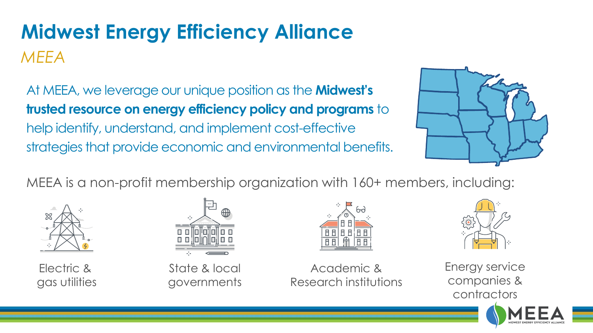### *MEEA* **Midwest Energy Efficiency Alliance**

At MEEA, we leverage our unique position as the **Midwest's trusted resource on energy efficiency policy and programs** to help identify, understand, and implement cost-effective strategies that provide economic and environmental benefits.



MEEA is a non-profit membership organization with 160+ members, including:



Electric & gas utilities



State & local governments



Academic & Research institutions

Energy service companies & contractors

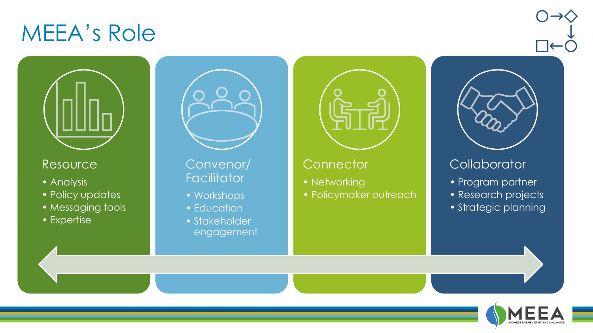## MEEA's Role



### Resource

- Analysis
- Policy updates
- Messaging tools
- Expertise



### Convenor/ **Facilitator**

- Workshops
- Education
- Stakeholder engagement



### **Connector**

• Networking • Policymaker outreach



### **Collaborator**

- Program partner
- Research projects
- Strategic planning

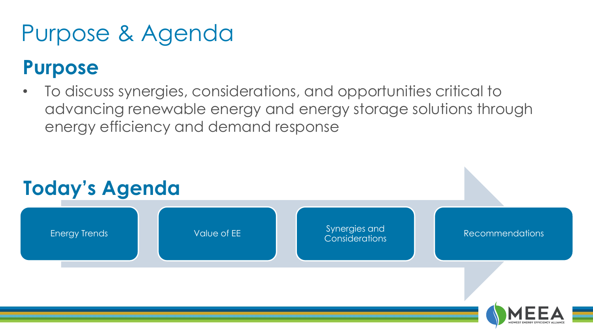# Purpose & Agenda

### **Purpose**

• To discuss synergies, considerations, and opportunities critical to advancing renewable energy and energy storage solutions through energy efficiency and demand response

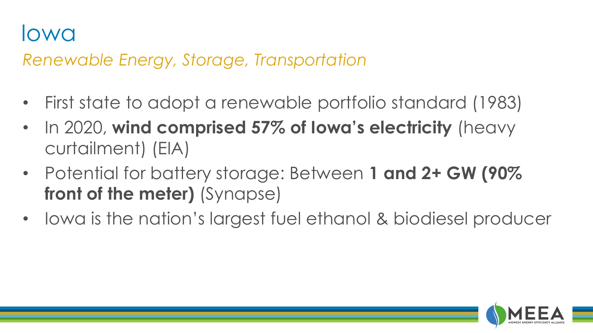### Iowa

*Renewable Energy, Storage, Transportation*

- First state to adopt a renewable portfolio standard (1983)
- In 2020, **wind comprised 57% of Iowa's electricity** (heavy curtailment) (EIA)
- Potential for battery storage: Between **1 and 2+ GW (90% front of the meter)** (Synapse)
- Iowa is the nation's largest fuel ethanol & biodiesel producer

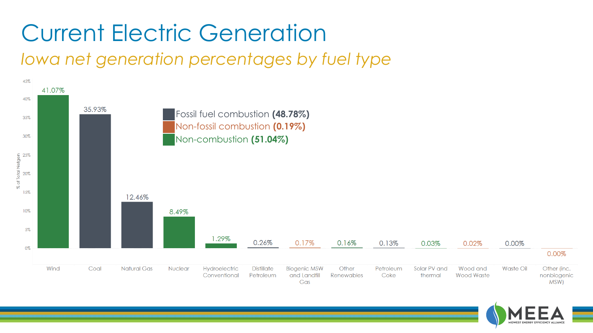## *Iowa net generation percentages by fuel type* Current Electric Generation



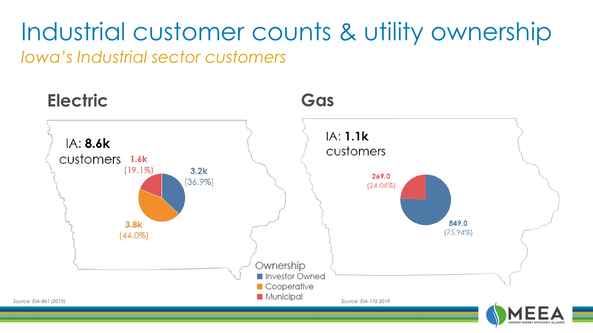### *Iowa's Industrial sector customers* Industrial customer counts & utility ownership

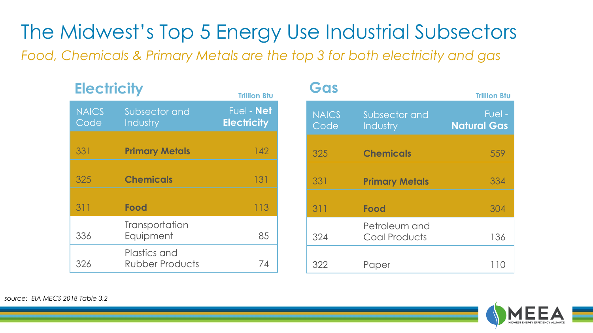## The Midwest's Top 5 Energy Use Industrial Subsectors

*Food, Chemicals & Primary Metals are the top 3 for both electricity and gas*

| <b>Electricity</b>   |                                        | <b>Trillion Btu</b>              |  | Gas                  |                                       | <b>Trillion Btu</b>          |
|----------------------|----------------------------------------|----------------------------------|--|----------------------|---------------------------------------|------------------------------|
| <b>NAICS</b><br>Code | Subsector and<br>Industry              | Fuel - Net<br><b>Electricity</b> |  | <b>NAICS</b><br>Code | Subsector and<br>Industry             | Fuel -<br><b>Natural Gas</b> |
| 331                  | <b>Primary Metals</b>                  | 142                              |  | 325                  | <b>Chemicals</b>                      | 559                          |
| 325                  | <b>Chemicals</b>                       | 131                              |  | 331                  | <b>Primary Metals</b>                 | 334                          |
| 311                  | <b>Food</b>                            | 113                              |  | 311                  | <b>Food</b>                           | 304                          |
| 336                  | Transportation<br>Equipment            | 85                               |  | 324                  | Petroleum and<br><b>Coal Products</b> | 136                          |
| 326                  | Plastics and<br><b>Rubber Products</b> | 74                               |  | 322                  | Paper                                 | 110                          |

| GOS                  |                                       | <b>Trillion Btu</b>            |
|----------------------|---------------------------------------|--------------------------------|
| <b>NAICS</b><br>Code | Subsector and<br>Industry             | $Fuel -$<br><b>Natural Gas</b> |
| 325                  | <b>Chemicals</b>                      | 559                            |
| 331                  | <b>Primary Metals</b>                 | 334                            |
| 311                  | <b>Food</b>                           | 304                            |
| 324                  | Petroleum and<br><b>Coal Products</b> | 136                            |
| 322                  | Paper                                 | 110                            |



*source: EIA MECS 2018 Table 3.2*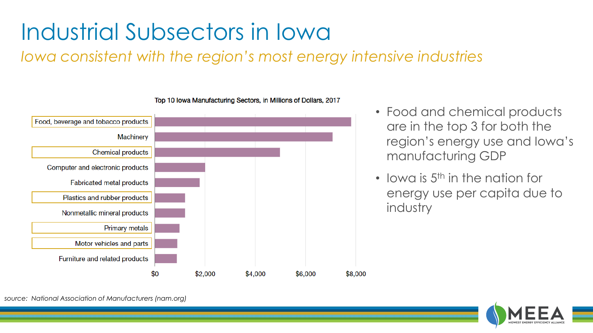# Industrial Subsectors in Iowa

*Iowa consistent with the region's most energy intensive industries*



#### Top 10 Iowa Manufacturing Sectors, in Millions of Dollars, 2017

- Food and chemical products are in the top 3 for both the region's energy use and Iowa's manufacturing GDP
- Iowa is  $5<sup>th</sup>$  in the nation for energy use per capita due to industry



*source: National Association of Manufacturers (nam.org)*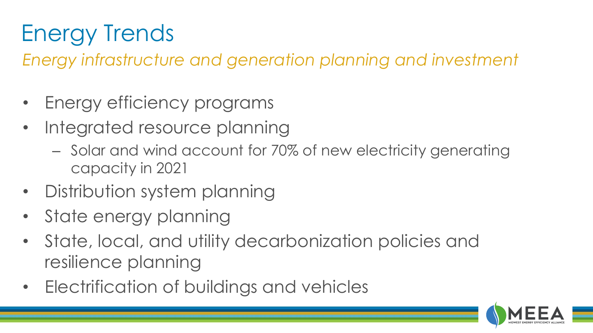# Energy Trends

*Energy infrastructure and generation planning and investment*

- Energy efficiency programs
- Integrated resource planning
	- Solar and wind account for 70% of new electricity generating capacity in 2021
- Distribution system planning
- State energy planning
- State, local, and utility decarbonization policies and resilience planning
- Electrification of buildings and vehicles

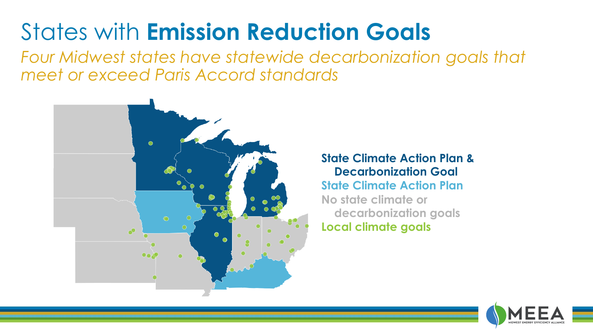# States with **Emission Reduction Goals**

*Four Midwest states have statewide decarbonization goals that meet or exceed Paris Accord standards*



**State Climate Action Plan & Decarbonization Goal State Climate Action Plan No state climate or decarbonization goals Local climate goals**

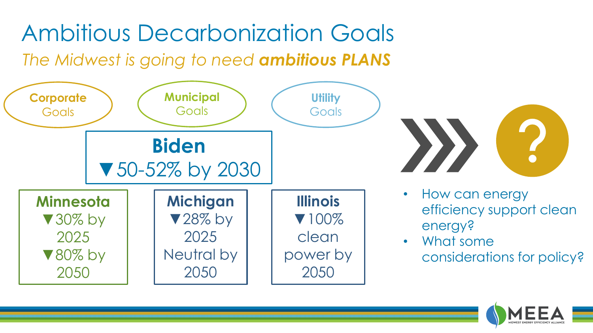*The Midwest is going to need ambitious PLANS* Ambitious Decarbonization Goals



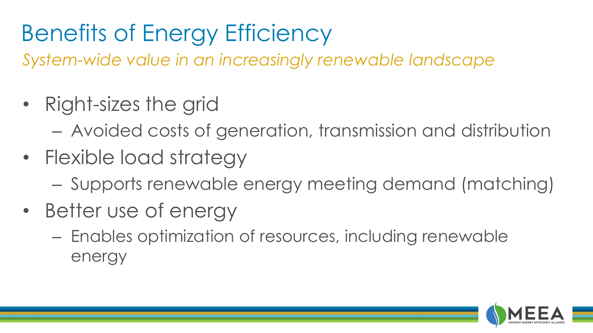# Benefits of Energy Efficiency

*System-wide value in an increasingly renewable landscape*

- Right-sizes the grid
	- Avoided costs of generation, transmission and distribution
- Flexible load strategy
	- Supports renewable energy meeting demand (matching)
- Better use of energy
	- Enables optimization of resources, including renewable energy

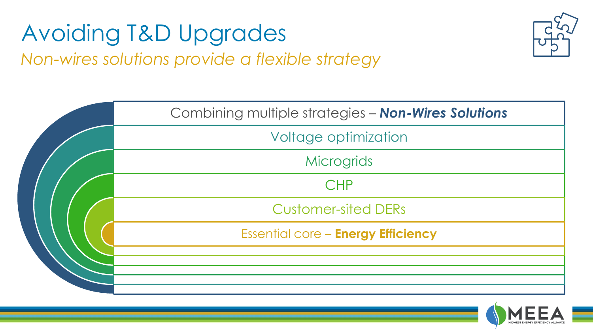## *Non-wires solutions provide a flexible strategy* Avoiding T&D Upgrades



| Combining multiple strategies - Non-Wires Solutions |
|-----------------------------------------------------|
| Voltage optimization                                |
| <b>Microgrids</b>                                   |
| <b>CHP</b>                                          |
| <b>Customer-sited DERs</b>                          |
| <b>Essential core - Energy Efficiency</b>           |
|                                                     |
|                                                     |

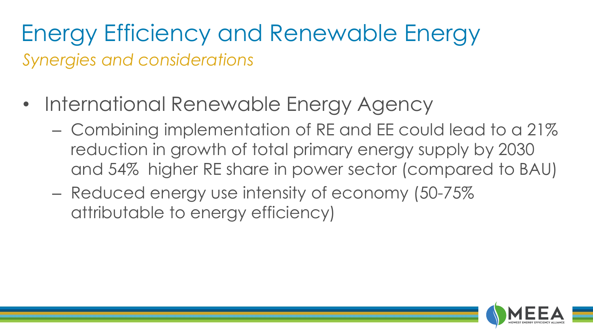## *Synergies and considerations* Energy Efficiency and Renewable Energy

- International Renewable Energy Agency
	- Combining implementation of RE and EE could lead to a 21% reduction in growth of total primary energy supply by 2030 and 54% higher RE share in power sector (compared to BAU)
	- Reduced energy use intensity of economy (50-75% attributable to energy efficiency)

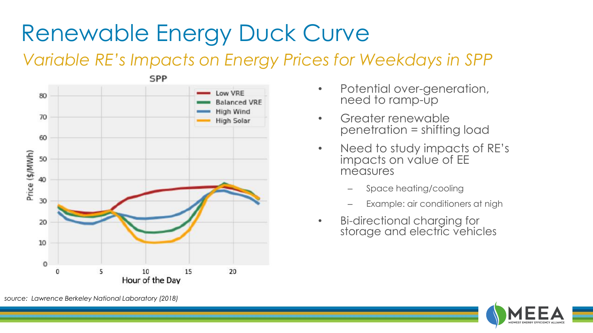# Renewable Energy Duck Curve

### *Variable RE's Impacts on Energy Prices for Weekdays in SPP*



- Potential over-generation, need to ramp-up
- Greater renewable penetration = shifting load
- Need to study impacts of RE's impacts on value of EE measures
	- Space heating/cooling
	- Example: air conditioners at nigh
- Bi-directional charging for storage and electric vehicles



*source: Lawrence Berkeley National Laboratory (2018)*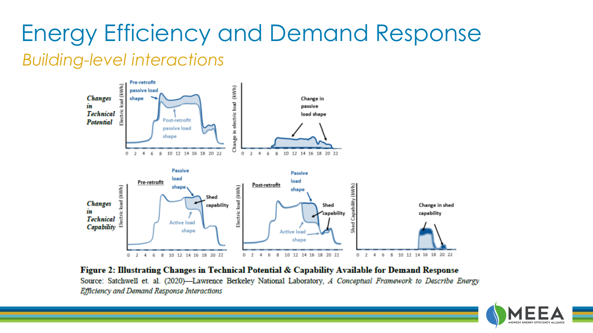### *Building-level interactions* Energy Efficiency and Demand Response



Figure 2: Illustrating Changes in Technical Potential & Capability Available for Demand Response Source: Satchwell et. al. (2020)-Lawrence Berkeley National Laboratory, A Conceptual Framework to Describe Energy Efficiency and Demand Response Interactions

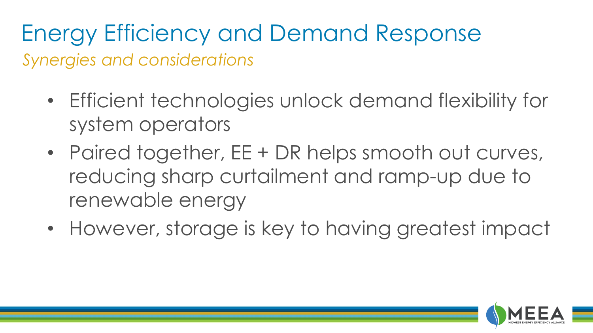*Synergies and considerations* Energy Efficiency and Demand Response

- Efficient technologies unlock demand flexibility for system operators
- Paired together, EE + DR helps smooth out curves, reducing sharp curtailment and ramp-up due to renewable energy
- However, storage is key to having greatest impact

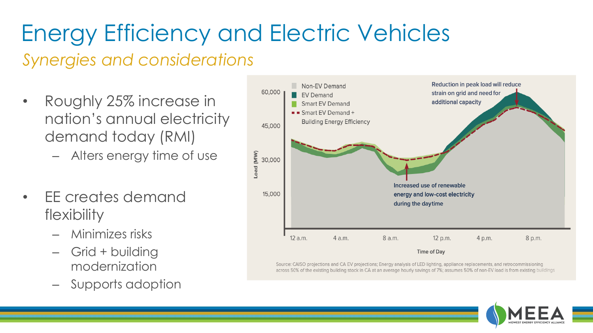# Energy Efficiency and Electric Vehicles

*Synergies and considerations*

- Roughly 25% increase in nation's annual electricity demand today (RMI)
	- Alters energy time of use
- EE creates demand flexibility
	- Minimizes risks
	- Grid + building modernization
	- Supports adoption



Source: CAISO projections and CA EV projections; Energy analysis of LED lighting, appliance replacements, and retrocommissioning across 50% of the existing building stock in CA at an average hourly savings of 7%; assumes 50% of non-EV load is from existing buildings

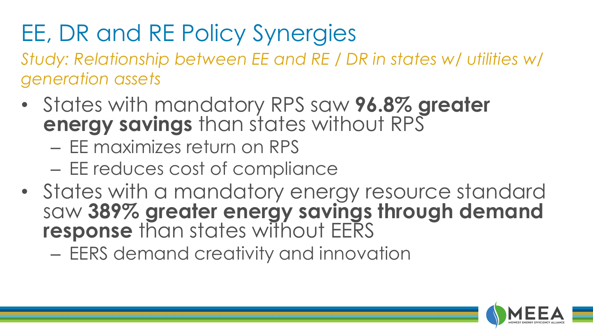# EE, DR and RE Policy Synergies

*Study: Relationship between EE and RE / DR in states w/ utilities w/ generation assets*

• States with mandatory RPS saw **96.8% greater energy savings** than states without RPS

– EE maximizes return on RPS

– EE reduces cost of compliance

• States with a mandatory energy resource standard saw **389% greater energy savings through demand response** than states without EERS

– EERS demand creativity and innovation

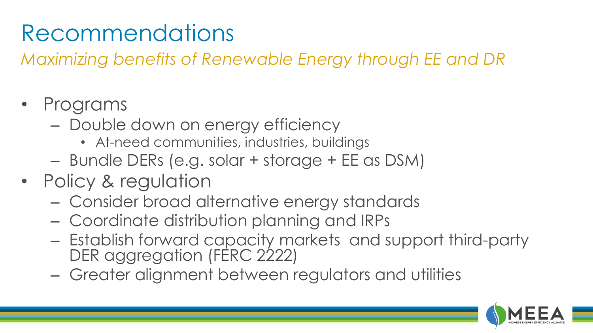# Recommendations

*Maximizing benefits of Renewable Energy through EE and DR*

- Programs
	- Double down on energy efficiency
		- At-need communities, industries, buildings
	- Bundle DERs (e.g. solar + storage + EE as DSM)
- Policy & regulation
	- Consider broad alternative energy standards
	- Coordinate distribution planning and IRPs
	- Establish forward capacity markets and support third-party DER aggregation (FERC 2222)
	- Greater alignment between regulators and utilities